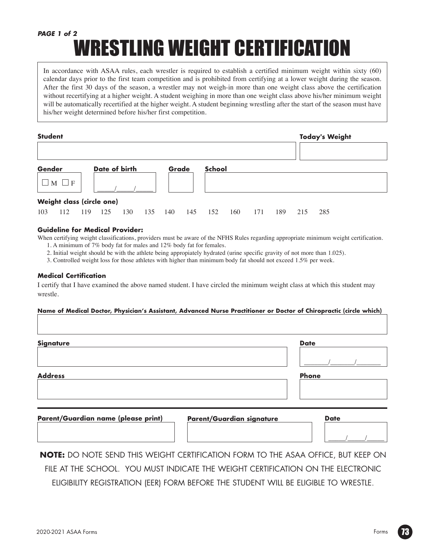## WRESTLING WEIGHT CERTIFICATION *PAGE 1 of 2*

In accordance with ASAA rules, each wrestler is required to establish a certified minimum weight within sixty (60) calendar days prior to the first team competition and is prohibited from certifying at a lower weight during the season. After the first 30 days of the season, a wrestler may not weigh-in more than one weight class above the certification without recertifying at a higher weight. A student weighing in more than one weight class above his/her minimum weight will be automatically recertified at the higher weight. A student beginning wrestling after the start of the season must have his/her weight determined before his/her first competition.

| <b>Student</b> |                     |     |                           |     |     |       |     |               | <b>Today's Weight</b> |     |     |     |     |  |
|----------------|---------------------|-----|---------------------------|-----|-----|-------|-----|---------------|-----------------------|-----|-----|-----|-----|--|
|                |                     |     |                           |     |     |       |     |               |                       |     |     |     |     |  |
| Gender         |                     |     | Date of birth             |     |     | Grade |     | <b>School</b> |                       |     |     |     |     |  |
|                | M  <br>$\mathbf{F}$ |     |                           |     |     |       |     |               |                       |     |     |     |     |  |
|                |                     |     | Weight class (circle one) |     |     |       |     |               |                       |     |     |     |     |  |
| 103            | 112                 | 119 | 125                       | 130 | 135 | 140   | 145 | 152           | 160                   | 171 | 189 | 215 | 285 |  |

#### **Guideline for Medical Provider:**

When certifying weight classifications, providers must be aware of the NFHS Rules regarding appropriate minimum weight certification. 1. A minimum of 7% body fat for males and 12% body fat for females.

2. Initial weight should be with the athlete being appropiately hydrated (urine specific gravity of not more than 1.025).

3. Controlled weight loss for those athletes with higher than minimum body fat should not exceed 1.5% per week.

#### **Medical Certification**

I certify that I have examined the above named student. I have circled the minimum weight class at which this student may wrestle.

#### **Name of Medical Doctor, Physician's Assistant, Advanced Nurse Practitioner or Doctor of Chiropractic (circle which)**

| <b>Signature</b>                    |                           | <b>Date</b>  |
|-------------------------------------|---------------------------|--------------|
|                                     |                           |              |
| <b>Address</b>                      |                           | <b>Phone</b> |
|                                     |                           |              |
|                                     |                           |              |
| Parent/Guardian name (please print) | Parent/Guardian signature | <b>Date</b>  |
|                                     |                           |              |

**NOTE:** DO NOTE SEND THIS WEIGHT CERTIFICATION FORM TO THE ASAA OFFICE, BUT KEEP ON FILE AT THE SCHOOL. YOU MUST INDICATE THE WEIGHT CERTIFICATION ON THE ELECTRONIC ELIGIBILITY REGISTRATION (EER) FORM BEFORE THE STUDENT WILL BE ELIGIBLE TO WRESTLE.